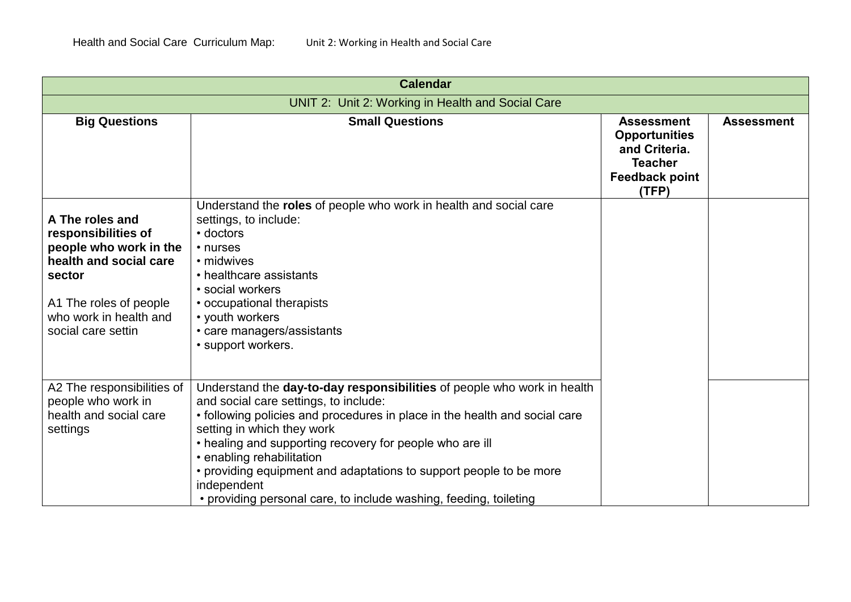| <b>Calendar</b>                                                                                                                                                                |                                                                                                                                                                                                                                                                                                                                                                                                                                                                                 |                                                                                                                |                   |
|--------------------------------------------------------------------------------------------------------------------------------------------------------------------------------|---------------------------------------------------------------------------------------------------------------------------------------------------------------------------------------------------------------------------------------------------------------------------------------------------------------------------------------------------------------------------------------------------------------------------------------------------------------------------------|----------------------------------------------------------------------------------------------------------------|-------------------|
| UNIT 2: Unit 2: Working in Health and Social Care                                                                                                                              |                                                                                                                                                                                                                                                                                                                                                                                                                                                                                 |                                                                                                                |                   |
| <b>Big Questions</b>                                                                                                                                                           | <b>Small Questions</b>                                                                                                                                                                                                                                                                                                                                                                                                                                                          | <b>Assessment</b><br><b>Opportunities</b><br>and Criteria.<br><b>Teacher</b><br><b>Feedback point</b><br>(TFP) | <b>Assessment</b> |
| A The roles and<br>responsibilities of<br>people who work in the<br>health and social care<br>sector<br>A1 The roles of people<br>who work in health and<br>social care settin | Understand the roles of people who work in health and social care<br>settings, to include:<br>• doctors<br>• nurses<br>• midwives<br>• healthcare assistants<br>• social workers<br>• occupational therapists<br>• youth workers<br>• care managers/assistants<br>· support workers.                                                                                                                                                                                            |                                                                                                                |                   |
| A2 The responsibilities of<br>people who work in<br>health and social care<br>settings                                                                                         | Understand the day-to-day responsibilities of people who work in health<br>and social care settings, to include:<br>• following policies and procedures in place in the health and social care<br>setting in which they work<br>• healing and supporting recovery for people who are ill<br>• enabling rehabilitation<br>• providing equipment and adaptations to support people to be more<br>independent<br>• providing personal care, to include washing, feeding, toileting |                                                                                                                |                   |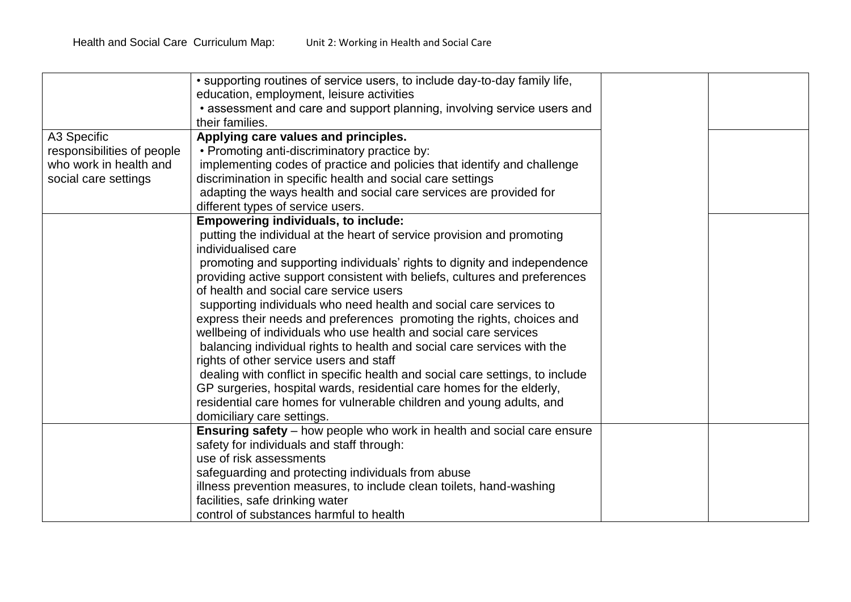|                                                      | • supporting routines of service users, to include day-to-day family life,<br>education, employment, leisure activities<br>• assessment and care and support planning, involving service users and |  |
|------------------------------------------------------|----------------------------------------------------------------------------------------------------------------------------------------------------------------------------------------------------|--|
|                                                      | their families.                                                                                                                                                                                    |  |
| A3 Specific                                          | Applying care values and principles.                                                                                                                                                               |  |
| responsibilities of people<br>who work in health and | • Promoting anti-discriminatory practice by:<br>implementing codes of practice and policies that identify and challenge                                                                            |  |
| social care settings                                 | discrimination in specific health and social care settings                                                                                                                                         |  |
|                                                      | adapting the ways health and social care services are provided for                                                                                                                                 |  |
|                                                      | different types of service users.                                                                                                                                                                  |  |
|                                                      | <b>Empowering individuals, to include:</b>                                                                                                                                                         |  |
|                                                      | putting the individual at the heart of service provision and promoting                                                                                                                             |  |
|                                                      | individualised care                                                                                                                                                                                |  |
|                                                      | promoting and supporting individuals' rights to dignity and independence                                                                                                                           |  |
|                                                      | providing active support consistent with beliefs, cultures and preferences                                                                                                                         |  |
|                                                      | of health and social care service users                                                                                                                                                            |  |
|                                                      | supporting individuals who need health and social care services to                                                                                                                                 |  |
|                                                      | express their needs and preferences promoting the rights, choices and                                                                                                                              |  |
|                                                      | wellbeing of individuals who use health and social care services                                                                                                                                   |  |
|                                                      | balancing individual rights to health and social care services with the                                                                                                                            |  |
|                                                      | rights of other service users and staff                                                                                                                                                            |  |
|                                                      | dealing with conflict in specific health and social care settings, to include                                                                                                                      |  |
|                                                      | GP surgeries, hospital wards, residential care homes for the elderly,                                                                                                                              |  |
|                                                      | residential care homes for vulnerable children and young adults, and                                                                                                                               |  |
|                                                      | domiciliary care settings.                                                                                                                                                                         |  |
|                                                      | Ensuring safety - how people who work in health and social care ensure                                                                                                                             |  |
|                                                      | safety for individuals and staff through:                                                                                                                                                          |  |
|                                                      | use of risk assessments                                                                                                                                                                            |  |
|                                                      | safeguarding and protecting individuals from abuse                                                                                                                                                 |  |
|                                                      |                                                                                                                                                                                                    |  |
|                                                      |                                                                                                                                                                                                    |  |
|                                                      | illness prevention measures, to include clean toilets, hand-washing<br>facilities, safe drinking water<br>control of substances harmful to health                                                  |  |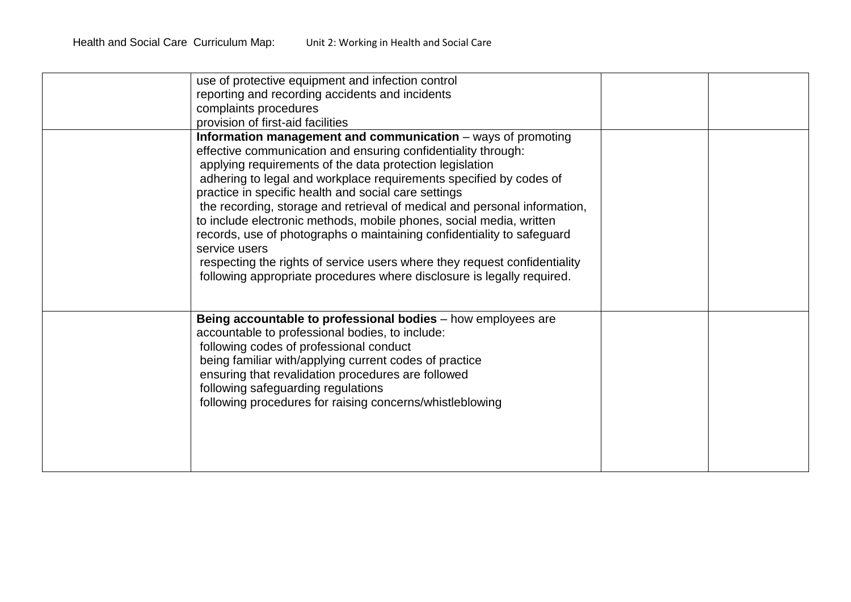| use of protective equipment and infection control<br>reporting and recording accidents and incidents<br>complaints procedures<br>provision of first-aid facilities                                                                                                                                                                                                                                                                                                                                                                                                                                                                                                                                                            |  |
|-------------------------------------------------------------------------------------------------------------------------------------------------------------------------------------------------------------------------------------------------------------------------------------------------------------------------------------------------------------------------------------------------------------------------------------------------------------------------------------------------------------------------------------------------------------------------------------------------------------------------------------------------------------------------------------------------------------------------------|--|
| Information management and communication - ways of promoting<br>effective communication and ensuring confidentiality through:<br>applying requirements of the data protection legislation<br>adhering to legal and workplace requirements specified by codes of<br>practice in specific health and social care settings<br>the recording, storage and retrieval of medical and personal information,<br>to include electronic methods, mobile phones, social media, written<br>records, use of photographs o maintaining confidentiality to safeguard<br>service users<br>respecting the rights of service users where they request confidentiality<br>following appropriate procedures where disclosure is legally required. |  |
| Being accountable to professional bodies - how employees are<br>accountable to professional bodies, to include:<br>following codes of professional conduct<br>being familiar with/applying current codes of practice<br>ensuring that revalidation procedures are followed<br>following safeguarding regulations<br>following procedures for raising concerns/whistleblowing                                                                                                                                                                                                                                                                                                                                                  |  |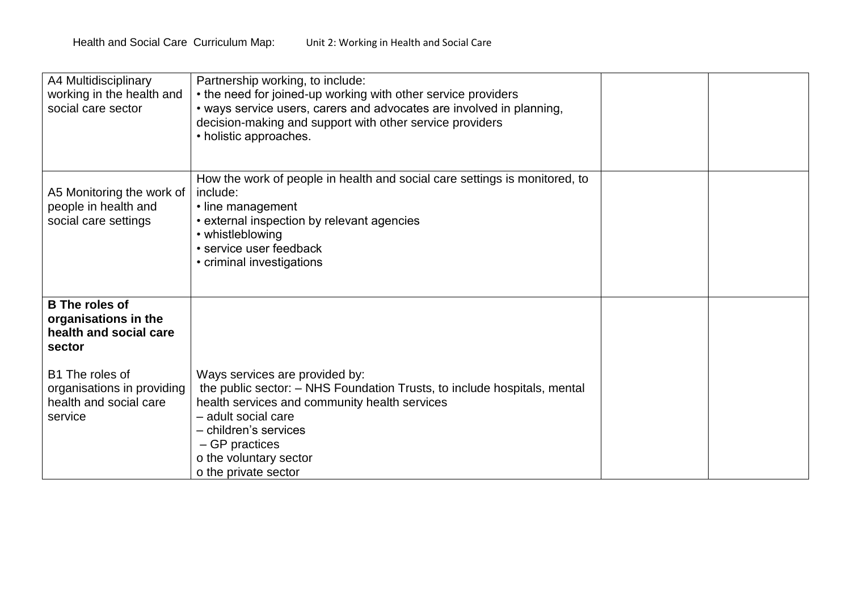| A4 Multidisciplinary<br>working in the health and<br>social care sector            | Partnership working, to include:<br>• the need for joined-up working with other service providers<br>• ways service users, carers and advocates are involved in planning,<br>decision-making and support with other service providers<br>• holistic approaches.                 |  |
|------------------------------------------------------------------------------------|---------------------------------------------------------------------------------------------------------------------------------------------------------------------------------------------------------------------------------------------------------------------------------|--|
| A5 Monitoring the work of<br>people in health and<br>social care settings          | How the work of people in health and social care settings is monitored, to<br>include:<br>• line management<br>• external inspection by relevant agencies<br>• whistleblowing<br>• service user feedback<br>• criminal investigations                                           |  |
| <b>B</b> The roles of<br>organisations in the<br>health and social care<br>sector  |                                                                                                                                                                                                                                                                                 |  |
| B1 The roles of<br>organisations in providing<br>health and social care<br>service | Ways services are provided by:<br>the public sector: - NHS Foundation Trusts, to include hospitals, mental<br>health services and community health services<br>- adult social care<br>- children's services<br>- GP practices<br>o the voluntary sector<br>o the private sector |  |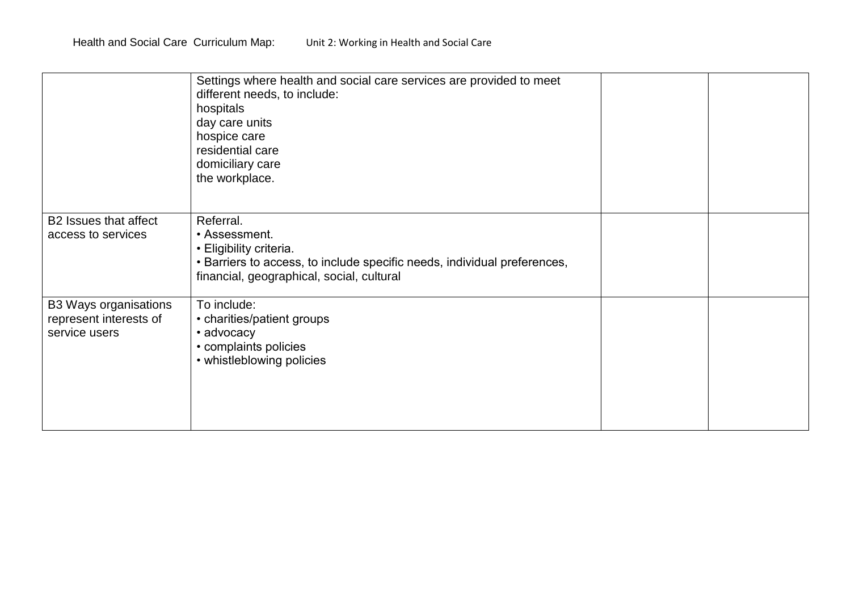|                                                                         | Settings where health and social care services are provided to meet<br>different needs, to include:<br>hospitals<br>day care units<br>hospice care<br>residential care<br>domiciliary care<br>the workplace. |  |
|-------------------------------------------------------------------------|--------------------------------------------------------------------------------------------------------------------------------------------------------------------------------------------------------------|--|
| B2 Issues that affect<br>access to services                             | Referral.<br>• Assessment.<br>• Eligibility criteria.<br>• Barriers to access, to include specific needs, individual preferences,<br>financial, geographical, social, cultural                               |  |
| <b>B3 Ways organisations</b><br>represent interests of<br>service users | To include:<br>• charities/patient groups<br>• advocacy<br>• complaints policies<br>• whistleblowing policies                                                                                                |  |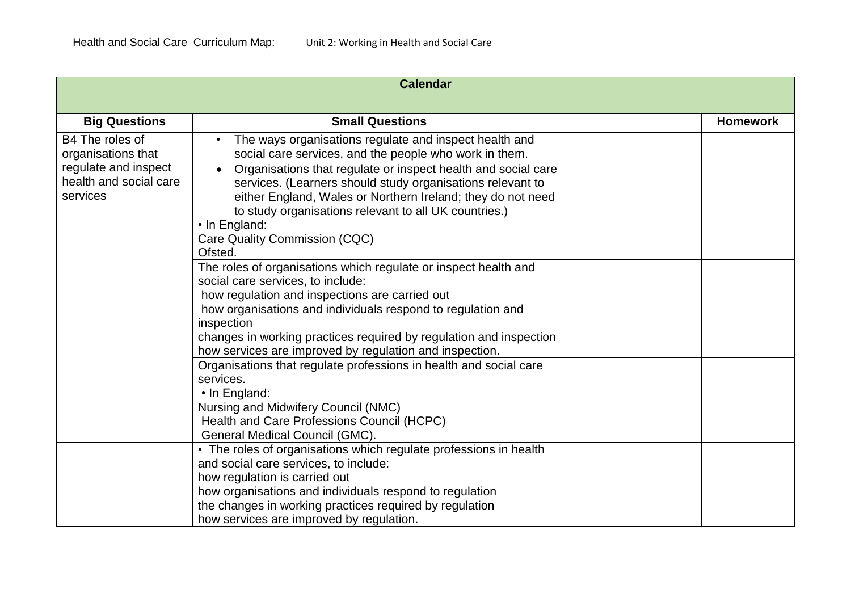| <b>Calendar</b>                                            |                                                                                                                                                                                                         |                 |
|------------------------------------------------------------|---------------------------------------------------------------------------------------------------------------------------------------------------------------------------------------------------------|-----------------|
|                                                            |                                                                                                                                                                                                         |                 |
| <b>Big Questions</b>                                       | <b>Small Questions</b>                                                                                                                                                                                  | <b>Homework</b> |
| B4 The roles of<br>organisations that                      | The ways organisations regulate and inspect health and<br>$\bullet$<br>social care services, and the people who work in them.                                                                           |                 |
| regulate and inspect<br>health and social care<br>services | Organisations that regulate or inspect health and social care<br>$\bullet$<br>services. (Learners should study organisations relevant to<br>either England, Wales or Northern Ireland; they do not need |                 |
|                                                            | to study organisations relevant to all UK countries.)<br>• In England:                                                                                                                                  |                 |
|                                                            | Care Quality Commission (CQC)<br>Ofsted.                                                                                                                                                                |                 |
|                                                            | The roles of organisations which regulate or inspect health and<br>social care services, to include:                                                                                                    |                 |
|                                                            | how regulation and inspections are carried out<br>how organisations and individuals respond to regulation and<br>inspection                                                                             |                 |
|                                                            | changes in working practices required by regulation and inspection<br>how services are improved by regulation and inspection.                                                                           |                 |
|                                                            | Organisations that regulate professions in health and social care<br>services.                                                                                                                          |                 |
|                                                            | $\cdot$ In England:<br>Nursing and Midwifery Council (NMC)<br>Health and Care Professions Council (HCPC)                                                                                                |                 |
|                                                            | General Medical Council (GMC).                                                                                                                                                                          |                 |
|                                                            | • The roles of organisations which regulate professions in health<br>and social care services, to include:                                                                                              |                 |
|                                                            | how regulation is carried out                                                                                                                                                                           |                 |
|                                                            | how organisations and individuals respond to regulation                                                                                                                                                 |                 |
|                                                            | the changes in working practices required by regulation                                                                                                                                                 |                 |
|                                                            | how services are improved by regulation.                                                                                                                                                                |                 |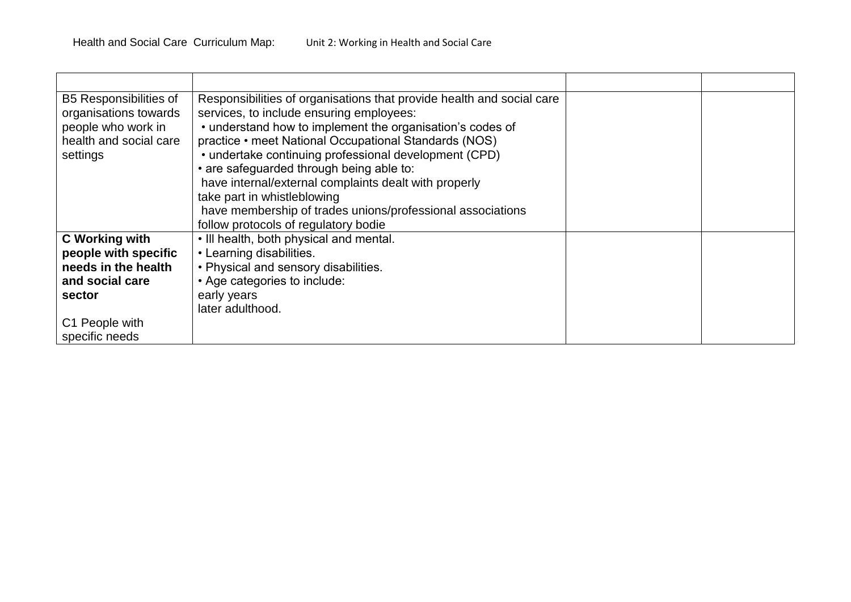| <b>B5 Responsibilities of</b> | Responsibilities of organisations that provide health and social care |  |
|-------------------------------|-----------------------------------------------------------------------|--|
| organisations towards         | services, to include ensuring employees:                              |  |
| people who work in            | • understand how to implement the organisation's codes of             |  |
| health and social care        | practice • meet National Occupational Standards (NOS)                 |  |
| settings                      | • undertake continuing professional development (CPD)                 |  |
|                               | • are safeguarded through being able to:                              |  |
|                               | have internal/external complaints dealt with properly                 |  |
|                               | take part in whistleblowing                                           |  |
|                               | have membership of trades unions/professional associations            |  |
|                               | follow protocols of regulatory bodie                                  |  |
| C Working with                | . Ill health, both physical and mental.                               |  |
| people with specific          | • Learning disabilities.                                              |  |
| needs in the health           | • Physical and sensory disabilities.                                  |  |
| and social care               | • Age categories to include:                                          |  |
| sector                        | early years                                                           |  |
|                               | later adulthood.                                                      |  |
| C1 People with                |                                                                       |  |
| specific needs                |                                                                       |  |